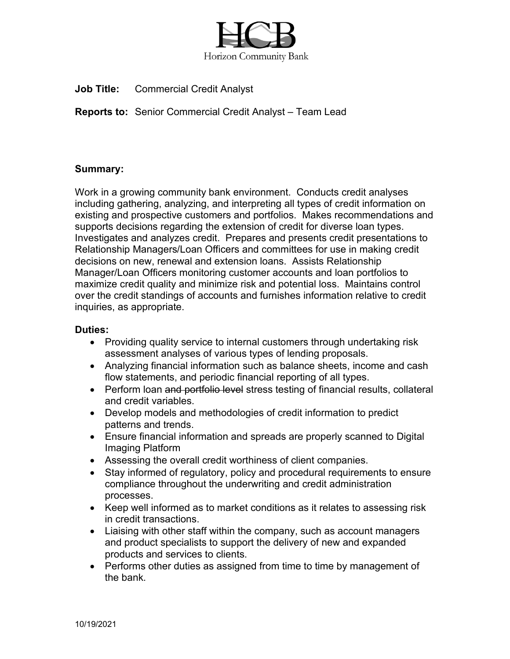

**Job Title:** Commercial Credit Analyst

**Reports to:** Senior Commercial Credit Analyst – Team Lead

## **Summary:**

Work in a growing community bank environment. Conducts credit analyses including gathering, analyzing, and interpreting all types of credit information on existing and prospective customers and portfolios. Makes recommendations and supports decisions regarding the extension of credit for diverse loan types. Investigates and analyzes credit. Prepares and presents credit presentations to Relationship Managers/Loan Officers and committees for use in making credit decisions on new, renewal and extension loans. Assists Relationship Manager/Loan Officers monitoring customer accounts and loan portfolios to maximize credit quality and minimize risk and potential loss. Maintains control over the credit standings of accounts and furnishes information relative to credit inquiries, as appropriate.

## **Duties:**

- Providing quality service to internal customers through undertaking risk assessment analyses of various types of lending proposals.
- Analyzing financial information such as balance sheets, income and cash flow statements, and periodic financial reporting of all types.
- Perform loan and portfolio level stress testing of financial results, collateral and credit variables.
- Develop models and methodologies of credit information to predict patterns and trends.
- Ensure financial information and spreads are properly scanned to Digital Imaging Platform
- Assessing the overall credit worthiness of client companies.
- Stay informed of regulatory, policy and procedural requirements to ensure compliance throughout the underwriting and credit administration processes.
- Keep well informed as to market conditions as it relates to assessing risk in credit transactions.
- Liaising with other staff within the company, such as account managers and product specialists to support the delivery of new and expanded products and services to clients.
- Performs other duties as assigned from time to time by management of the bank.